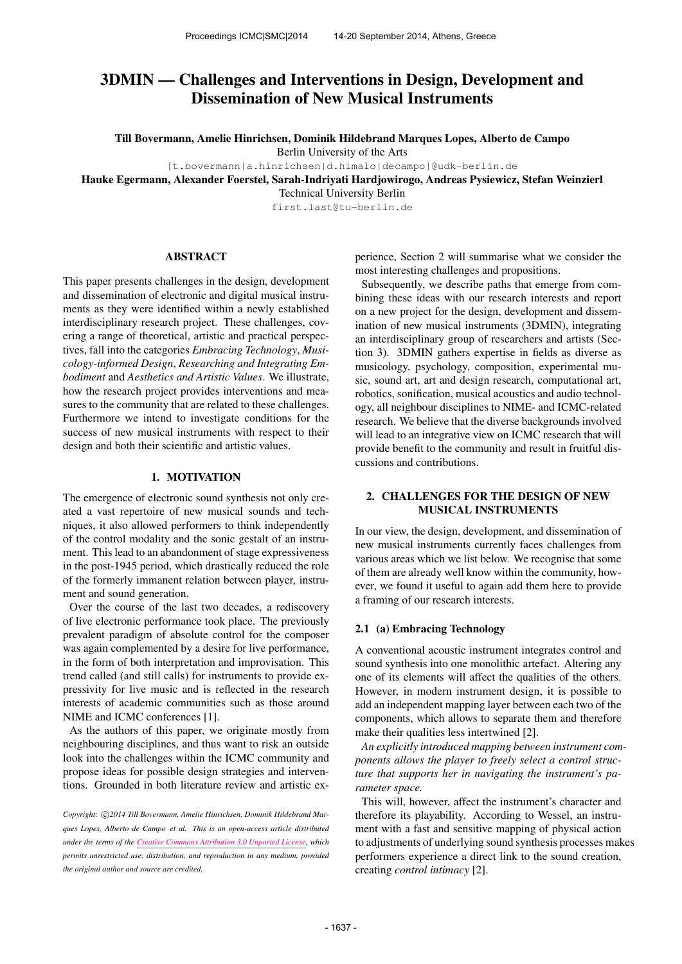# 3DMIN — Challenges and Interventions in Design, Development and Dissemination of New Musical Instruments

Till Bovermann, Amelie Hinrichsen, Dominik Hildebrand Marques Lopes, Alberto de Campo

Berlin University of the Arts

[t.bovermann|a.hinrichsen|d.himalo|decampo]@udk-berlin.de

Hauke Egermann, Alexander Foerstel, Sarah-Indriyati Hardjowirogo, Andreas Pysiewicz, Stefan Weinzierl

Technical University Berlin

first.last@tu-berlin.de

#### ABSTRACT

This paper presents challenges in the design, development and dissemination of electronic and digital musical instruments as they were identified within a newly established interdisciplinary research project. These challenges, covering a range of theoretical, artistic and practical perspectives, fall into the categories *Embracing Technology*, *Musicology-informed Design*, *Researching and Integrating Embodiment* and *Aesthetics and Artistic Values*. We illustrate, how the research project provides interventions and measures to the community that are related to these challenges. Furthermore we intend to investigate conditions for the success of new musical instruments with respect to their design and both their scientific and artistic values.

#### 1. MOTIVATION

The emergence of electronic sound synthesis not only created a vast repertoire of new musical sounds and techniques, it also allowed performers to think independently of the control modality and the sonic gestalt of an instrument. This lead to an abandonment of stage expressiveness in the post-1945 period, which drastically reduced the role of the formerly immanent relation between player, instrument and sound generation.

Over the course of the last two decades, a rediscovery of live electronic performance took place. The previously prevalent paradigm of absolute control for the composer was again complemented by a desire for live performance, in the form of both interpretation and improvisation. This trend called (and still calls) for instruments to provide expressivity for live music and is reflected in the research interests of academic communities such as those around NIME and ICMC conferences [1].

As the authors of this paper, we originate mostly from neighbouring disciplines, and thus want to risk an outside look into the challenges within the ICMC community and propose ideas for possible design strategies and interventions. Grounded in both literature review and artistic experience, Section 2 will summarise what we consider the most interesting challenges and propositions.

Subsequently, we describe paths that emerge from combining these ideas with our research interests and report on a new project for the design, development and dissemination of new musical instruments (3DMIN), integrating an interdisciplinary group of researchers and artists (Section 3). 3DMIN gathers expertise in fields as diverse as musicology, psychology, composition, experimental music, sound art, art and design research, computational art, robotics, sonification, musical acoustics and audio technology, all neighbour disciplines to NIME- and ICMC-related research. We believe that the diverse backgrounds involved will lead to an integrative view on ICMC research that will provide benefit to the community and result in fruitful discussions and contributions.

# 2. CHALLENGES FOR THE DESIGN OF NEW MUSICAL INSTRUMENTS

In our view, the design, development, and dissemination of new musical instruments currently faces challenges from various areas which we list below. We recognise that some of them are already well know within the community, however, we found it useful to again add them here to provide a framing of our research interests.

#### 2.1 (a) Embracing Technology

A conventional acoustic instrument integrates control and sound synthesis into one monolithic artefact. Altering any one of its elements will affect the qualities of the others. However, in modern instrument design, it is possible to add an independent mapping layer between each two of the components, which allows to separate them and therefore make their qualities less intertwined [2].

*An explicitly introduced mapping between instrument components allows the player to freely select a control structure that supports her in navigating the instrument's parameter space.*

This will, however, affect the instrument's character and therefore its playability. According to Wessel, an instrument with a fast and sensitive mapping of physical action to adjustments of underlying sound synthesis processes makes performers experience a direct link to the sound creation, creating *control intimacy* [2].

Copyright: C2014 Till Bovermann, Amelie Hinrichsen, Dominik Hildebrand Mar*ques Lopes, Alberto de Campo et al. This is an open-access article distributed under the terms of the [Creative Commons Attribution 3.0 Unported License,](http://creativecommons.org/licenses/by/3.0/) which permits unrestricted use, distribution, and reproduction in any medium, provided the original author and source are credited.*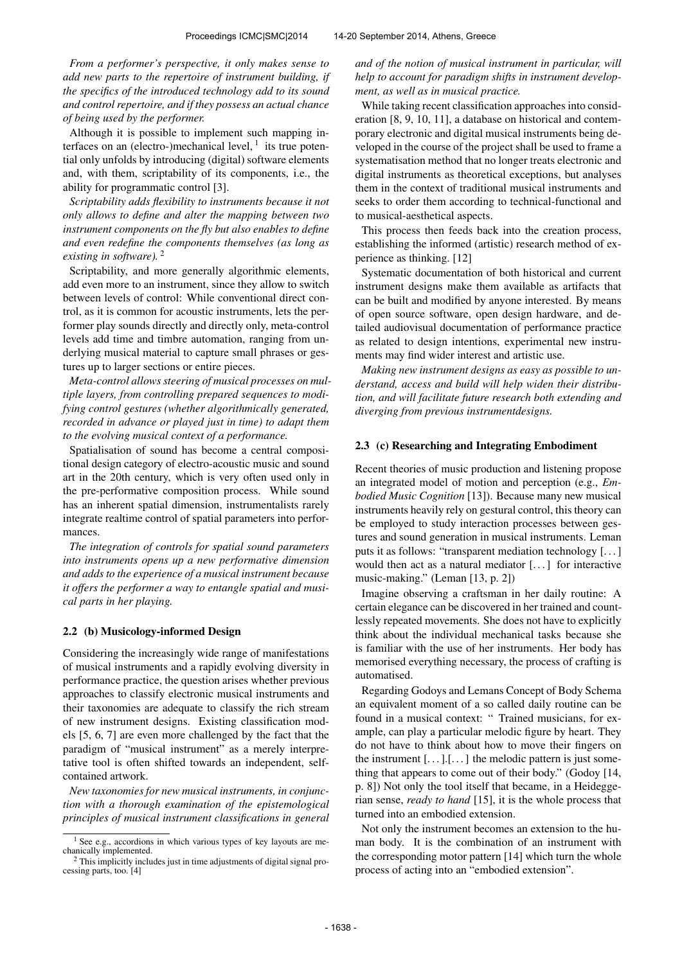*From a performer's perspective, it only makes sense to add new parts to the repertoire of instrument building, if the specifics of the introduced technology add to its sound and control repertoire, and if they possess an actual chance of being used by the performer.*

Although it is possible to implement such mapping interfaces on an (electro-)mechanical level,  $<sup>1</sup>$  its true poten-</sup> tial only unfolds by introducing (digital) software elements and, with them, scriptability of its components, i.e., the ability for programmatic control [3].

*Scriptability adds flexibility to instruments because it not only allows to define and alter the mapping between two instrument components on the fly but also enables to define and even redefine the components themselves (as long as existing in software).* <sup>2</sup>

Scriptability, and more generally algorithmic elements, add even more to an instrument, since they allow to switch between levels of control: While conventional direct control, as it is common for acoustic instruments, lets the performer play sounds directly and directly only, meta-control levels add time and timbre automation, ranging from underlying musical material to capture small phrases or gestures up to larger sections or entire pieces.

*Meta-control allows steering of musical processes on multiple layers, from controlling prepared sequences to modifying control gestures (whether algorithmically generated, recorded in advance or played just in time) to adapt them to the evolving musical context of a performance.*

Spatialisation of sound has become a central compositional design category of electro-acoustic music and sound art in the 20th century, which is very often used only in the pre-performative composition process. While sound has an inherent spatial dimension, instrumentalists rarely integrate realtime control of spatial parameters into performances.

*The integration of controls for spatial sound parameters into instruments opens up a new performative dimension and adds to the experience of a musical instrument because it offers the performer a way to entangle spatial and musical parts in her playing.*

#### 2.2 (b) Musicology-informed Design

Considering the increasingly wide range of manifestations of musical instruments and a rapidly evolving diversity in performance practice, the question arises whether previous approaches to classify electronic musical instruments and their taxonomies are adequate to classify the rich stream of new instrument designs. Existing classification models [5, 6, 7] are even more challenged by the fact that the paradigm of "musical instrument" as a merely interpretative tool is often shifted towards an independent, selfcontained artwork.

*New taxonomies for new musical instruments, in conjunction with a thorough examination of the epistemological principles of musical instrument classifications in general* *and of the notion of musical instrument in particular, will help to account for paradigm shifts in instrument development, as well as in musical practice.*

While taking recent classification approaches into consideration [8, 9, 10, 11], a database on historical and contemporary electronic and digital musical instruments being developed in the course of the project shall be used to frame a systematisation method that no longer treats electronic and digital instruments as theoretical exceptions, but analyses them in the context of traditional musical instruments and seeks to order them according to technical-functional and to musical-aesthetical aspects.

This process then feeds back into the creation process, establishing the informed (artistic) research method of experience as thinking. [12]

Systematic documentation of both historical and current instrument designs make them available as artifacts that can be built and modified by anyone interested. By means of open source software, open design hardware, and detailed audiovisual documentation of performance practice as related to design intentions, experimental new instruments may find wider interest and artistic use.

*Making new instrument designs as easy as possible to understand, access and build will help widen their distribution, and will facilitate future research both extending and diverging from previous instrumentdesigns.*

#### 2.3 (c) Researching and Integrating Embodiment

Recent theories of music production and listening propose an integrated model of motion and perception (e.g., *Embodied Music Cognition* [13]). Because many new musical instruments heavily rely on gestural control, this theory can be employed to study interaction processes between gestures and sound generation in musical instruments. Leman puts it as follows: "transparent mediation technology [. . . ] would then act as a natural mediator [...] for interactive music-making." (Leman [13, p. 2])

Imagine observing a craftsman in her daily routine: A certain elegance can be discovered in her trained and countlessly repeated movements. She does not have to explicitly think about the individual mechanical tasks because she is familiar with the use of her instruments. Her body has memorised everything necessary, the process of crafting is automatised.

Regarding Godoys and Lemans Concept of Body Schema an equivalent moment of a so called daily routine can be found in a musical context: " Trained musicians, for example, can play a particular melodic figure by heart. They do not have to think about how to move their fingers on the instrument  $[...]$ . [...] the melodic pattern is just something that appears to come out of their body." (Godoy [14, p. 8]) Not only the tool itself that became, in a Heideggerian sense, *ready to hand* [15], it is the whole process that turned into an embodied extension.

Not only the instrument becomes an extension to the human body. It is the combination of an instrument with the corresponding motor pattern [14] which turn the whole process of acting into an "embodied extension".

 $1$  See e.g., accordions in which various types of key layouts are mechanically implemented.

<sup>2</sup> This implicitly includes just in time adjustments of digital signal processing parts, too. [4]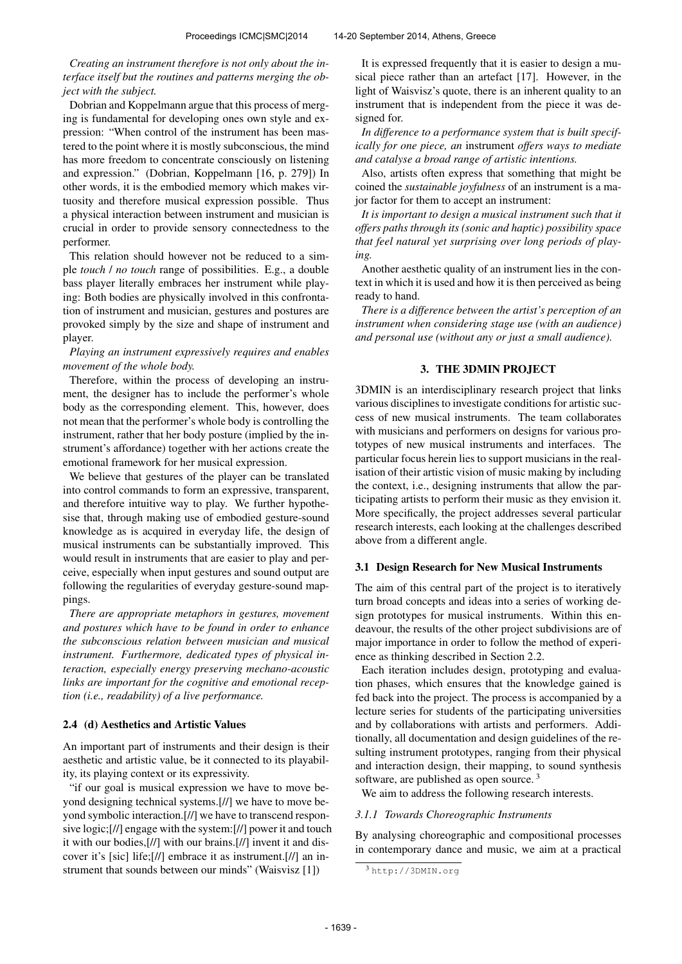## *Creating an instrument therefore is not only about the interface itself but the routines and patterns merging the object with the subject.*

Dobrian and Koppelmann argue that this process of merging is fundamental for developing ones own style and expression: "When control of the instrument has been mastered to the point where it is mostly subconscious, the mind has more freedom to concentrate consciously on listening and expression." (Dobrian, Koppelmann [16, p. 279]) In other words, it is the embodied memory which makes virtuosity and therefore musical expression possible. Thus a physical interaction between instrument and musician is crucial in order to provide sensory connectedness to the performer.

This relation should however not be reduced to a simple *touch* / *no touch* range of possibilities. E.g., a double bass player literally embraces her instrument while playing: Both bodies are physically involved in this confrontation of instrument and musician, gestures and postures are provoked simply by the size and shape of instrument and player.

## *Playing an instrument expressively requires and enables movement of the whole body.*

Therefore, within the process of developing an instrument, the designer has to include the performer's whole body as the corresponding element. This, however, does not mean that the performer's whole body is controlling the instrument, rather that her body posture (implied by the instrument's affordance) together with her actions create the emotional framework for her musical expression.

We believe that gestures of the player can be translated into control commands to form an expressive, transparent, and therefore intuitive way to play. We further hypothesise that, through making use of embodied gesture-sound knowledge as is acquired in everyday life, the design of musical instruments can be substantially improved. This would result in instruments that are easier to play and perceive, especially when input gestures and sound output are following the regularities of everyday gesture-sound mappings.

*There are appropriate metaphors in gestures, movement and postures which have to be found in order to enhance the subconscious relation between musician and musical instrument. Furthermore, dedicated types of physical interaction, especially energy preserving mechano-acoustic links are important for the cognitive and emotional reception (i.e., readability) of a live performance.*

# 2.4 (d) Aesthetics and Artistic Values

An important part of instruments and their design is their aesthetic and artistic value, be it connected to its playability, its playing context or its expressivity.

"if our goal is musical expression we have to move beyond designing technical systems.[//] we have to move beyond symbolic interaction.[//] we have to transcend responsive logic;[//] engage with the system:[//] power it and touch it with our bodies,[//] with our brains.[//] invent it and discover it's [sic] life;[//] embrace it as instrument.[//] an instrument that sounds between our minds" (Waisvisz [1])

It is expressed frequently that it is easier to design a musical piece rather than an artefact [17]. However, in the light of Waisvisz's quote, there is an inherent quality to an instrument that is independent from the piece it was designed for.

*In difference to a performance system that is built specifically for one piece, an* instrument *offers ways to mediate and catalyse a broad range of artistic intentions.*

Also, artists often express that something that might be coined the *sustainable joyfulness* of an instrument is a major factor for them to accept an instrument:

*It is important to design a musical instrument such that it offers paths through its (sonic and haptic) possibility space that feel natural yet surprising over long periods of playing.*

Another aesthetic quality of an instrument lies in the context in which it is used and how it is then perceived as being ready to hand.

*There is a difference between the artist's perception of an instrument when considering stage use (with an audience) and personal use (without any or just a small audience).*

## 3. THE 3DMIN PROJECT

3DMIN is an interdisciplinary research project that links various disciplines to investigate conditions for artistic success of new musical instruments. The team collaborates with musicians and performers on designs for various prototypes of new musical instruments and interfaces. The particular focus herein lies to support musicians in the realisation of their artistic vision of music making by including the context, i.e., designing instruments that allow the participating artists to perform their music as they envision it. More specifically, the project addresses several particular research interests, each looking at the challenges described above from a different angle.

## 3.1 Design Research for New Musical Instruments

The aim of this central part of the project is to iteratively turn broad concepts and ideas into a series of working design prototypes for musical instruments. Within this endeavour, the results of the other project subdivisions are of major importance in order to follow the method of experience as thinking described in Section 2.2.

Each iteration includes design, prototyping and evaluation phases, which ensures that the knowledge gained is fed back into the project. The process is accompanied by a lecture series for students of the participating universities and by collaborations with artists and performers. Additionally, all documentation and design guidelines of the resulting instrument prototypes, ranging from their physical and interaction design, their mapping, to sound synthesis software, are published as open source.<sup>3</sup>

We aim to address the following research interests.

## *3.1.1 Towards Choreographic Instruments*

By analysing choreographic and compositional processes in contemporary dance and music, we aim at a practical

<sup>3</sup> <http://3DMIN.org>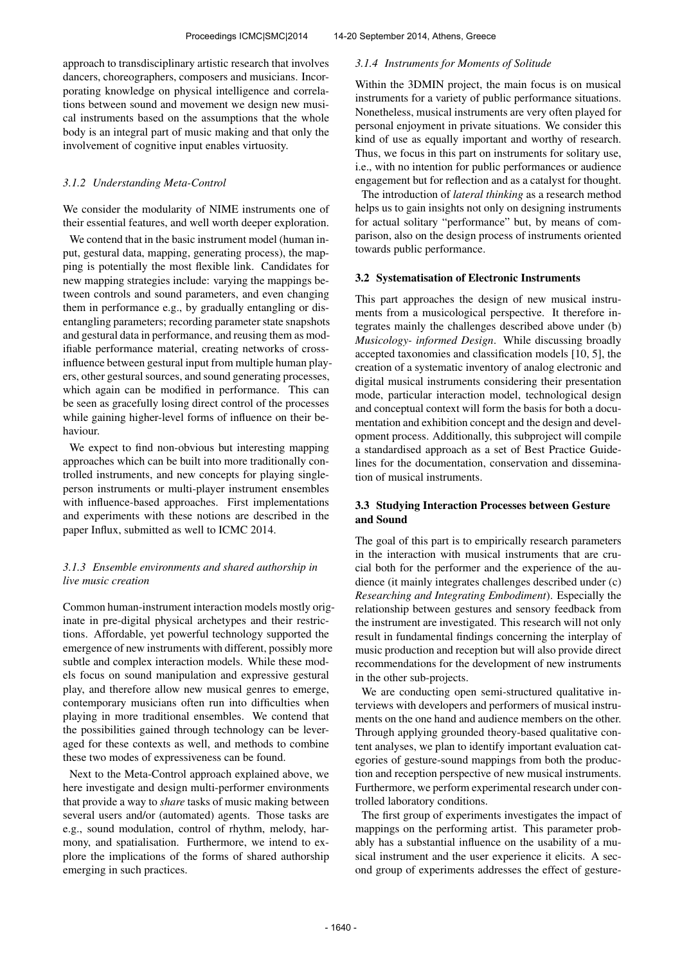approach to transdisciplinary artistic research that involves dancers, choreographers, composers and musicians. Incorporating knowledge on physical intelligence and correlations between sound and movement we design new musical instruments based on the assumptions that the whole body is an integral part of music making and that only the involvement of cognitive input enables virtuosity.

## *3.1.2 Understanding Meta-Control*

We consider the modularity of NIME instruments one of their essential features, and well worth deeper exploration.

We contend that in the basic instrument model (human input, gestural data, mapping, generating process), the mapping is potentially the most flexible link. Candidates for new mapping strategies include: varying the mappings between controls and sound parameters, and even changing them in performance e.g., by gradually entangling or disentangling parameters; recording parameter state snapshots and gestural data in performance, and reusing them as modifiable performance material, creating networks of crossinfluence between gestural input from multiple human players, other gestural sources, and sound generating processes, which again can be modified in performance. This can be seen as gracefully losing direct control of the processes while gaining higher-level forms of influence on their behaviour.

We expect to find non-obvious but interesting mapping approaches which can be built into more traditionally controlled instruments, and new concepts for playing singleperson instruments or multi-player instrument ensembles with influence-based approaches. First implementations and experiments with these notions are described in the paper Influx, submitted as well to ICMC 2014.

## *3.1.3 Ensemble environments and shared authorship in live music creation*

Common human-instrument interaction models mostly originate in pre-digital physical archetypes and their restrictions. Affordable, yet powerful technology supported the emergence of new instruments with different, possibly more subtle and complex interaction models. While these models focus on sound manipulation and expressive gestural play, and therefore allow new musical genres to emerge, contemporary musicians often run into difficulties when playing in more traditional ensembles. We contend that the possibilities gained through technology can be leveraged for these contexts as well, and methods to combine these two modes of expressiveness can be found.

Next to the Meta-Control approach explained above, we here investigate and design multi-performer environments that provide a way to *share* tasks of music making between several users and/or (automated) agents. Those tasks are e.g., sound modulation, control of rhythm, melody, harmony, and spatialisation. Furthermore, we intend to explore the implications of the forms of shared authorship emerging in such practices.

#### *3.1.4 Instruments for Moments of Solitude*

Within the 3DMIN project, the main focus is on musical instruments for a variety of public performance situations. Nonetheless, musical instruments are very often played for personal enjoyment in private situations. We consider this kind of use as equally important and worthy of research. Thus, we focus in this part on instruments for solitary use, i.e., with no intention for public performances or audience engagement but for reflection and as a catalyst for thought.

The introduction of *lateral thinking* as a research method helps us to gain insights not only on designing instruments for actual solitary "performance" but, by means of comparison, also on the design process of instruments oriented towards public performance.

#### 3.2 Systematisation of Electronic Instruments

This part approaches the design of new musical instruments from a musicological perspective. It therefore integrates mainly the challenges described above under (b) *Musicology- informed Design*. While discussing broadly accepted taxonomies and classification models [10, 5], the creation of a systematic inventory of analog electronic and digital musical instruments considering their presentation mode, particular interaction model, technological design and conceptual context will form the basis for both a documentation and exhibition concept and the design and development process. Additionally, this subproject will compile a standardised approach as a set of Best Practice Guidelines for the documentation, conservation and dissemination of musical instruments.

# 3.3 Studying Interaction Processes between Gesture and Sound

The goal of this part is to empirically research parameters in the interaction with musical instruments that are crucial both for the performer and the experience of the audience (it mainly integrates challenges described under (c) *Researching and Integrating Embodiment*). Especially the relationship between gestures and sensory feedback from the instrument are investigated. This research will not only result in fundamental findings concerning the interplay of music production and reception but will also provide direct recommendations for the development of new instruments in the other sub-projects.

We are conducting open semi-structured qualitative interviews with developers and performers of musical instruments on the one hand and audience members on the other. Through applying grounded theory-based qualitative content analyses, we plan to identify important evaluation categories of gesture-sound mappings from both the production and reception perspective of new musical instruments. Furthermore, we perform experimental research under controlled laboratory conditions.

The first group of experiments investigates the impact of mappings on the performing artist. This parameter probably has a substantial influence on the usability of a musical instrument and the user experience it elicits. A second group of experiments addresses the effect of gesture-